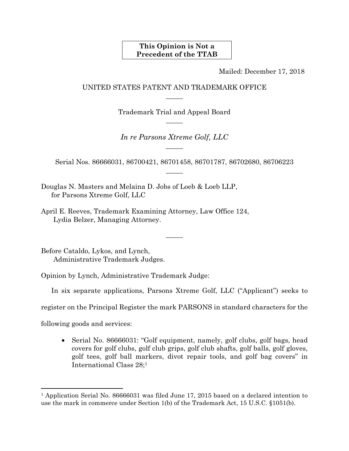## **This Opinion is Not a Precedent of the TTAB**

Mailed: December 17, 2018

# UNITED STATES PATENT AND TRADEMARK OFFICE  $\overline{\phantom{a}}$

Trademark Trial and Appeal Board  $\overline{\phantom{a}}$ 

*In re Parsons Xtreme Golf, LLC*  $\overline{\phantom{a}}$ 

Serial Nos. 86666031, 86700421, 86701458, 86701787, 86702680, 86706223  $\overline{\phantom{a}}$ 

 $\overline{\phantom{a}}$ 

Douglas N. Masters and Melaina D. Jobs of Loeb & Loeb LLP, for Parsons Xtreme Golf, LLC

April E. Reeves, Trademark Examining Attorney, Law Office 124, Lydia Belzer, Managing Attorney.

Before Cataldo, Lykos, and Lynch, Administrative Trademark Judges.

Opinion by Lynch, Administrative Trademark Judge:

In six separate applications, Parsons Xtreme Golf, LLC ("Applicant") seeks to

register on the Principal Register the mark PARSONS in standard characters for the

following goods and services:

1

• Serial No. 86666031: "Golf equipment, namely, golf clubs, golf bags, head covers for golf clubs, golf club grips, golf club shafts, golf balls, golf gloves, golf tees, golf ball markers, divot repair tools, and golf bag covers" in International Class 28;1

<sup>1</sup> Application Serial No. 86666031 was filed June 17, 2015 based on a declared intention to use the mark in commerce under Section 1(b) of the Trademark Act, 15 U.S.C. §1051(b).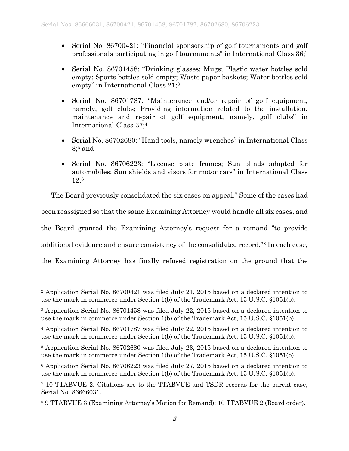- Serial No. 86700421: "Financial sponsorship of golf tournaments and golf professionals participating in golf tournaments" in International Class 36;2
- Serial No. 86701458: "Drinking glasses; Mugs; Plastic water bottles sold empty; Sports bottles sold empty; Waste paper baskets; Water bottles sold empty" in International Class 21:<sup>3</sup>
- Serial No. 86701787: "Maintenance and/or repair of golf equipment, namely, golf clubs; Providing information related to the installation, maintenance and repair of golf equipment, namely, golf clubs" in International Class 37;4
- Serial No. 86702680: "Hand tools, namely wrenches" in International Class 8;5 and
- Serial No. 86706223: "License plate frames; Sun blinds adapted for automobiles; Sun shields and visors for motor cars" in International Class 12.6

The Board previously consolidated the six cases on appeal.7 Some of the cases had been reassigned so that the same Examining Attorney would handle all six cases, and the Board granted the Examining Attorney's request for a remand "to provide additional evidence and ensure consistency of the consolidated record."8 In each case, the Examining Attorney has finally refused registration on the ground that the

 $\overline{a}$ 2 Application Serial No. 86700421 was filed July 21, 2015 based on a declared intention to use the mark in commerce under Section 1(b) of the Trademark Act, 15 U.S.C. §1051(b).

<sup>3</sup> Application Serial No. 86701458 was filed July 22, 2015 based on a declared intention to use the mark in commerce under Section 1(b) of the Trademark Act, 15 U.S.C. §1051(b).

<sup>4</sup> Application Serial No. 86701787 was filed July 22, 2015 based on a declared intention to use the mark in commerce under Section 1(b) of the Trademark Act, 15 U.S.C. §1051(b).

<sup>5</sup> Application Serial No. 86702680 was filed July 23, 2015 based on a declared intention to use the mark in commerce under Section 1(b) of the Trademark Act, 15 U.S.C. §1051(b).

<sup>6</sup> Application Serial No. 86706223 was filed July 27, 2015 based on a declared intention to use the mark in commerce under Section 1(b) of the Trademark Act, 15 U.S.C. §1051(b).

<sup>7 10</sup> TTABVUE 2. Citations are to the TTABVUE and TSDR records for the parent case, Serial No. 86666031.

<sup>8 9</sup> TTABVUE 3 (Examining Attorney's Motion for Remand); 10 TTABVUE 2 (Board order).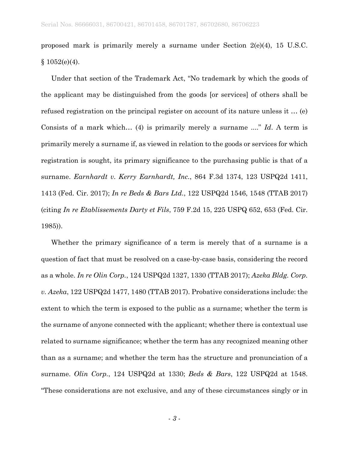proposed mark is primarily merely a surname under Section 2(e)(4), 15 U.S.C.  $§ 1052(e)(4).$ 

Under that section of the Trademark Act, "No trademark by which the goods of the applicant may be distinguished from the goods [or services] of others shall be refused registration on the principal register on account of its nature unless it … (e) Consists of a mark which… (4) is primarily merely a surname ...." *Id*. A term is primarily merely a surname if, as viewed in relation to the goods or services for which registration is sought, its primary significance to the purchasing public is that of a surname. *Earnhardt v. Kerry Earnhardt, Inc.*, 864 F.3d 1374, 123 USPQ2d 1411, 1413 (Fed. Cir. 2017); *In re Beds & Bars Ltd.*, 122 USPQ2d 1546, 1548 (TTAB 2017) (citing *In re Etablissements Darty et Fils*, 759 F.2d 15, 225 USPQ 652, 653 (Fed. Cir. 1985)).

Whether the primary significance of a term is merely that of a surname is a question of fact that must be resolved on a case-by-case basis, considering the record as a whole. *In re Olin Corp.*, 124 USPQ2d 1327, 1330 (TTAB 2017); *Azeka Bldg. Corp. v. Azeka*, 122 USPQ2d 1477, 1480 (TTAB 2017). Probative considerations include: the extent to which the term is exposed to the public as a surname; whether the term is the surname of anyone connected with the applicant; whether there is contextual use related to surname significance; whether the term has any recognized meaning other than as a surname; and whether the term has the structure and pronunciation of a surname. *Olin Corp.*, 124 USPQ2d at 1330; *Beds & Bars*, 122 USPQ2d at 1548. "These considerations are not exclusive, and any of these circumstances singly or in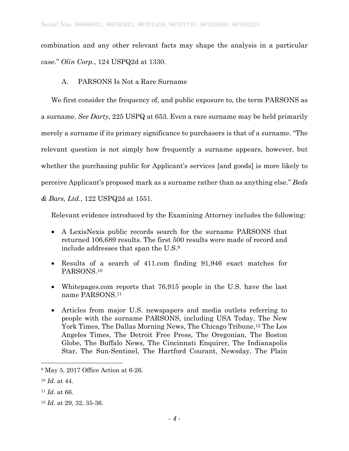combination and any other relevant facts may shape the analysis in a particular case." *Olin Corp.*, 124 USPQ2d at 1330.

A. PARSONS Is Not a Rare Surname

We first consider the frequency of, and public exposure to, the term PARSONS as a surname. *See Darty*, 225 USPQ at 653. Even a rare surname may be held primarily merely a surname if its primary significance to purchasers is that of a surname. "The relevant question is not simply how frequently a surname appears, however, but whether the purchasing public for Applicant's services [and goods] is more likely to perceive Applicant's proposed mark as a surname rather than as anything else." *Beds* 

*& Bars, Ltd.*, 122 USPQ2d at 1551.

Relevant evidence introduced by the Examining Attorney includes the following:

- A LexisNexis public records search for the surname PARSONS that returned 106,689 results. The first 500 results were made of record and include addresses that span the U.S.9
- Results of a search of 411.com finding 91,946 exact matches for PARSONS.10
- Whitepages.com reports that 76,915 people in the U.S. have the last name PARSONS.11
- Articles from major U.S. newspapers and media outlets referring to people with the surname PARSONS, including USA Today, The New York Times, The Dallas Morning News, The Chicago Tribune,12 The Los Angeles Times, The Detroit Free Press, The Oregonian, The Boston Globe, The Buffalo News, The Cincinnati Enquirer, The Indianapolis Star, The Sun-Sentinel, The Hartford Courant, Newsday, The Plain

<sup>9</sup> May 5, 2017 Office Action at 6-26.

<sup>10</sup> *Id.* at 44.

<sup>11</sup> *Id.* at 66.

<sup>12</sup> *Id.* at 29, 32, 35-36.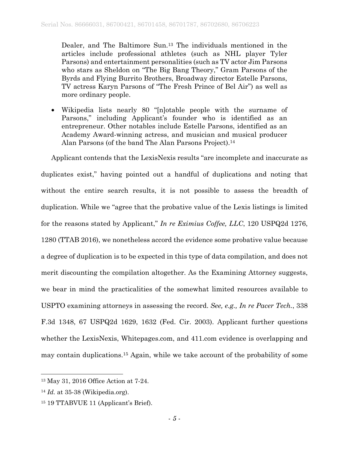Dealer, and The Baltimore Sun.13 The individuals mentioned in the articles include professional athletes (such as NHL player Tyler Parsons) and entertainment personalities (such as TV actor Jim Parsons who stars as Sheldon on "The Big Bang Theory," Gram Parsons of the Byrds and Flying Burrito Brothers, Broadway director Estelle Parsons, TV actress Karyn Parsons of "The Fresh Prince of Bel Air") as well as more ordinary people.

• Wikipedia lists nearly 80 "[n]otable people with the surname of Parsons," including Applicant's founder who is identified as an entrepreneur. Other notables include Estelle Parsons, identified as an Academy Award-winning actress, and musician and musical producer Alan Parsons (of the band The Alan Parsons Project).14

Applicant contends that the LexisNexis results "are incomplete and inaccurate as duplicates exist," having pointed out a handful of duplications and noting that without the entire search results, it is not possible to assess the breadth of duplication. While we "agree that the probative value of the Lexis listings is limited for the reasons stated by Applicant," *In re Eximius Coffee, LLC*, 120 USPQ2d 1276, 1280 (TTAB 2016), we nonetheless accord the evidence some probative value because a degree of duplication is to be expected in this type of data compilation, and does not merit discounting the compilation altogether. As the Examining Attorney suggests, we bear in mind the practicalities of the somewhat limited resources available to USPTO examining attorneys in assessing the record. *See, e.g., In re Pacer Tech.*, 338 F.3d 1348, 67 USPQ2d 1629, 1632 (Fed. Cir. 2003). Applicant further questions whether the LexisNexis, Whitepages.com, and 411.com evidence is overlapping and may contain duplications.15 Again, while we take account of the probability of some

<sup>13</sup> May 31, 2016 Office Action at 7-24.

<sup>14</sup> *Id.* at 35-38 (Wikipedia.org).

<sup>15 19</sup> TTABVUE 11 (Applicant's Brief).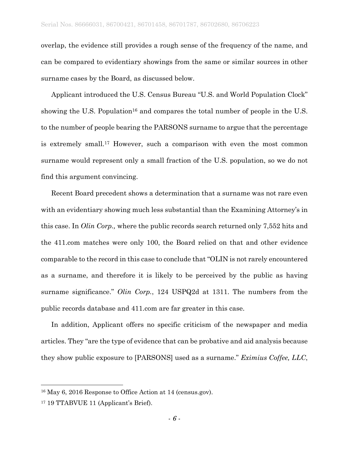overlap, the evidence still provides a rough sense of the frequency of the name, and can be compared to evidentiary showings from the same or similar sources in other surname cases by the Board, as discussed below.

Applicant introduced the U.S. Census Bureau "U.S. and World Population Clock" showing the U.S. Population<sup>16</sup> and compares the total number of people in the U.S. to the number of people bearing the PARSONS surname to argue that the percentage is extremely small.17 However, such a comparison with even the most common surname would represent only a small fraction of the U.S. population, so we do not find this argument convincing.

Recent Board precedent shows a determination that a surname was not rare even with an evidentiary showing much less substantial than the Examining Attorney's in this case. In *Olin Corp.,* where the public records search returned only 7,552 hits and the 411.com matches were only 100, the Board relied on that and other evidence comparable to the record in this case to conclude that "OLIN is not rarely encountered as a surname, and therefore it is likely to be perceived by the public as having surname significance." *Olin Corp.*, 124 USPQ2d at 1311. The numbers from the public records database and 411.com are far greater in this case.

In addition, Applicant offers no specific criticism of the newspaper and media articles. They "are the type of evidence that can be probative and aid analysis because they show public exposure to [PARSONS] used as a surname." *Eximius Coffee, LLC*,

<sup>16</sup> May 6, 2016 Response to Office Action at 14 (census.gov).

<sup>17 19</sup> TTABVUE 11 (Applicant's Brief).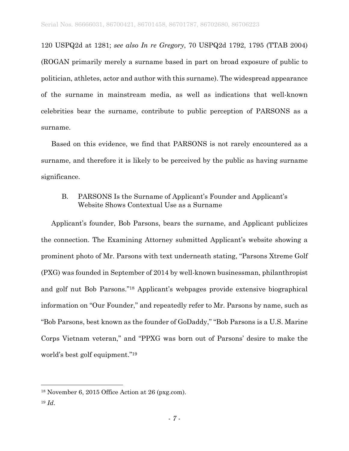120 USPQ2d at 1281; *see also In re Gregory*, 70 USPQ2d 1792, 1795 (TTAB 2004) (ROGAN primarily merely a surname based in part on broad exposure of public to politician, athletes, actor and author with this surname). The widespread appearance of the surname in mainstream media, as well as indications that well-known celebrities bear the surname, contribute to public perception of PARSONS as a surname.

Based on this evidence, we find that PARSONS is not rarely encountered as a surname, and therefore it is likely to be perceived by the public as having surname significance.

## B. PARSONS Is the Surname of Applicant's Founder and Applicant's Website Shows Contextual Use as a Surname

Applicant's founder, Bob Parsons, bears the surname, and Applicant publicizes the connection. The Examining Attorney submitted Applicant's website showing a prominent photo of Mr. Parsons with text underneath stating, "Parsons Xtreme Golf (PXG) was founded in September of 2014 by well-known businessman, philanthropist and golf nut Bob Parsons."18 Applicant's webpages provide extensive biographical information on "Our Founder," and repeatedly refer to Mr. Parsons by name, such as "Bob Parsons, best known as the founder of GoDaddy," "Bob Parsons is a U.S. Marine Corps Vietnam veteran," and "PPXG was born out of Parsons' desire to make the world's best golf equipment."19

<sup>18</sup> November 6, 2015 Office Action at 26 (pxg.com).

<sup>19</sup> *Id*.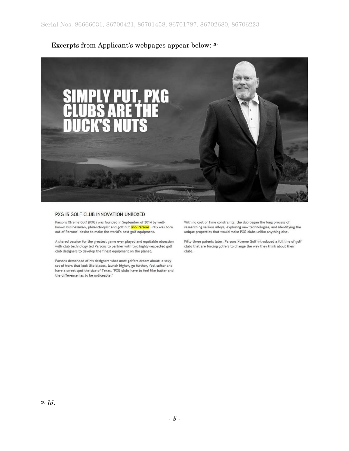# Excerpts from Applicant's webpages appear below: 20



#### PXG IS GOLF CLUB INNOVATION UNBOXED

Parsons Xtreme Golf (PXG) was founded in September of 2014 by wellknown businessman, philanthropist and golf nut Bob Parsons. PXG was born out of Parsons' desire to make the world's best golf equipment.

A shared passion for the greatest game ever played and equitable obsession with club technology led Parsons to partner with two highly-respected golf club designers to develop the finest equipment on the planet.

Parsons demanded of his designers what most golfers dream about: a sexy set of irons that look like blades, launch higher, go further, feel softer and have a sweet spot the size of Texas. "PXG clubs have to feel like butter and the difference has to be noticeable."

With no cost or time constraints, the duo began the long process of researching various alloys, exploring new technologies, and identifying the unique properties that would make PXG clubs unlike anything else.

Fifty-three patents later, Parsons Xtreme Golf introduced a full line of golf clubs that are forcing golfers to change the way they think about their clubs.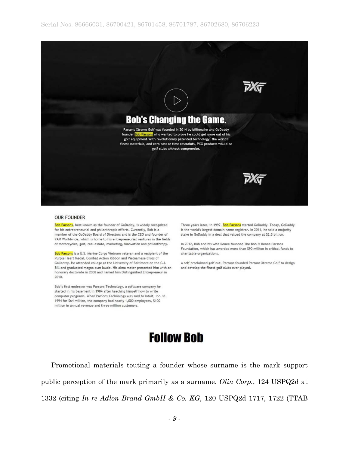

#### **OUR FOUNDER**

Bob Parsons, best known as the founder of GoDaddy, is widely recognized for his entrepreneurial and philanthropic efforts. Currently, Bob is a member of the GoDaddy Board of Directors and is the CEO and founder of YAM Worldwide, which is home to his entrepreneurial ventures in the fields of motorcycles, golf, real estate, marketing, innovation and philanthropy.

Bob Parsons is a U.S. Marine Corps Vietnam veteran and a recipient of the Purple Heart Medal, Combat Action Ribbon and Vietnamese Cross of Gallantry. He attended college at the University of Baltimore on the G.I. Bill and graduated magna cum laude. His alma mater presented him with an honorary doctorate in 2008 and named him Distinguished Entrepreneur in 2010.

Bob's first endeavor was Parsons Technology, a software company he started in his basement in 1984 after teaching himself how to write computer programs. When Parsons Technology was sold to Intuit, Inc. in 1994 for \$64 million, the company had nearly 1,000 employees, \$100 million in annual revenue and three million customers.

Three years later, in 1997, Bob Parsons started GoDaddy. Today, GoDaddy is the world's largest domain name registrar. In 2011, he sold a majority stake in GoDaddy in a deal that valued the company at \$2.3 billion.

In 2012, Bob and his wife Renee founded The Bob & Renee Parsons Foundation, which has awarded more than \$90 million in critical funds to charitable organizations.

A self proclaimed golf nut, Parsons founded Parsons Xtreme Golf to design and develop the finest golf clubs ever played.

# **Follow Bob**

Promotional materials touting a founder whose surname is the mark support public perception of the mark primarily as a surname. *Olin Corp.*, 124 USPQ2d at 1332 (citing *In re Adlon Brand GmbH & Co. KG*, 120 USPQ2d 1717, 1722 (TTAB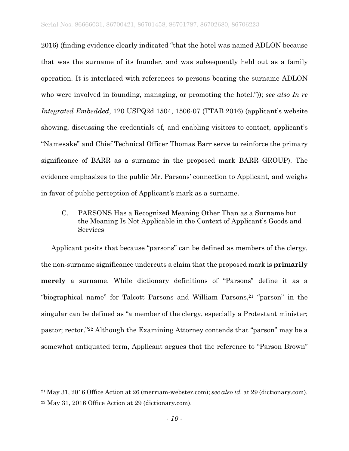2016) (finding evidence clearly indicated "that the hotel was named ADLON because that was the surname of its founder, and was subsequently held out as a family operation. It is interlaced with references to persons bearing the surname ADLON who were involved in founding, managing, or promoting the hotel.")); *see also In re Integrated Embedded*, 120 USPQ2d 1504, 1506-07 (TTAB 2016) (applicant's website showing, discussing the credentials of, and enabling visitors to contact, applicant's "Namesake" and Chief Technical Officer Thomas Barr serve to reinforce the primary significance of BARR as a surname in the proposed mark BARR GROUP). The evidence emphasizes to the public Mr. Parsons' connection to Applicant, and weighs in favor of public perception of Applicant's mark as a surname.

C. PARSONS Has a Recognized Meaning Other Than as a Surname but the Meaning Is Not Applicable in the Context of Applicant's Goods and **Services** 

Applicant posits that because "parsons" can be defined as members of the clergy, the non-surname significance undercuts a claim that the proposed mark is **primarily merely** a surname. While dictionary definitions of "Parsons" define it as a "biographical name" for Talcott Parsons and William Parsons,<sup>21</sup> "parson" in the singular can be defined as "a member of the clergy, especially a Protestant minister; pastor; rector."22 Although the Examining Attorney contends that "parson" may be a somewhat antiquated term, Applicant argues that the reference to "Parson Brown"

<sup>21</sup> May 31, 2016 Office Action at 26 (merriam-webster.com); *see also id.* at 29 (dictionary.com).

<sup>22</sup> May 31, 2016 Office Action at 29 (dictionary.com).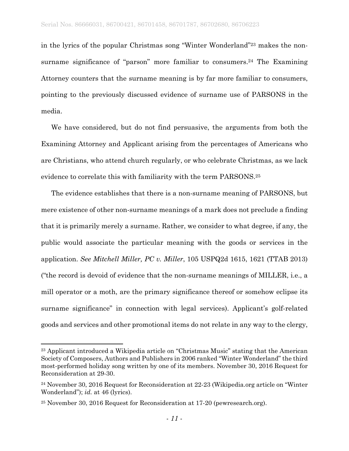in the lyrics of the popular Christmas song "Winter Wonderland"23 makes the nonsurname significance of "parson" more familiar to consumers.<sup>24</sup> The Examining Attorney counters that the surname meaning is by far more familiar to consumers, pointing to the previously discussed evidence of surname use of PARSONS in the media.

We have considered, but do not find persuasive, the arguments from both the Examining Attorney and Applicant arising from the percentages of Americans who are Christians, who attend church regularly, or who celebrate Christmas, as we lack evidence to correlate this with familiarity with the term PARSONS.<sup>25</sup>

The evidence establishes that there is a non-surname meaning of PARSONS, but mere existence of other non-surname meanings of a mark does not preclude a finding that it is primarily merely a surname. Rather, we consider to what degree, if any, the public would associate the particular meaning with the goods or services in the application. *See Mitchell Miller, PC v. Miller*, 105 USPQ2d 1615, 1621 (TTAB 2013) ("the record is devoid of evidence that the non-surname meanings of MILLER, i.e., a mill operator or a moth, are the primary significance thereof or somehow eclipse its surname significance" in connection with legal services). Applicant's golf-related goods and services and other promotional items do not relate in any way to the clergy,

<sup>23</sup> Applicant introduced a Wikipedia article on "Christmas Music" stating that the American Society of Composers, Authors and Publishers in 2006 ranked "Winter Wonderland" the third most-performed holiday song written by one of its members. November 30, 2016 Request for Reconsideration at 29-30.

<sup>24</sup> November 30, 2016 Request for Reconsideration at 22-23 (Wikipedia.org article on "Winter Wonderland"); *id.* at 46 (lyrics).

<sup>25</sup> November 30, 2016 Request for Reconsideration at 17-20 (pewresearch.org).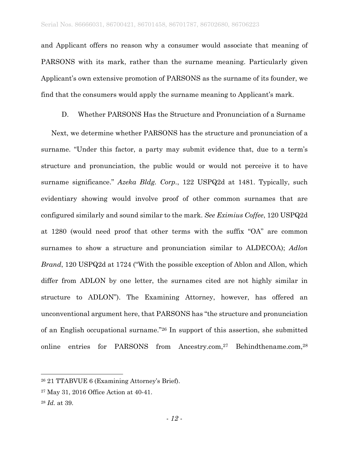and Applicant offers no reason why a consumer would associate that meaning of PARSONS with its mark, rather than the surname meaning. Particularly given Applicant's own extensive promotion of PARSONS as the surname of its founder, we find that the consumers would apply the surname meaning to Applicant's mark.

D. Whether PARSONS Has the Structure and Pronunciation of a Surname

Next, we determine whether PARSONS has the structure and pronunciation of a surname. "Under this factor, a party may submit evidence that, due to a term's structure and pronunciation, the public would or would not perceive it to have surname significance." *Azeka Bldg. Corp.*, 122 USPQ2d at 1481. Typically, such evidentiary showing would involve proof of other common surnames that are configured similarly and sound similar to the mark. *See Eximius Coffee*, 120 USPQ2d at 1280 (would need proof that other terms with the suffix "OA" are common surnames to show a structure and pronunciation similar to ALDECOA); *Adlon Brand*, 120 USPQ2d at 1724 ("With the possible exception of Ablon and Allon, which differ from ADLON by one letter, the surnames cited are not highly similar in structure to ADLON"). The Examining Attorney, however, has offered an unconventional argument here, that PARSONS has "the structure and pronunciation of an English occupational surname."26 In support of this assertion, she submitted online entries for PARSONS from Ancestry.com,<sup>27</sup> Behindthename.com,<sup>28</sup>

<sup>26 21</sup> TTABVUE 6 (Examining Attorney's Brief).

<sup>27</sup> May 31, 2016 Office Action at 40-41.

<sup>28</sup> *Id.* at 39.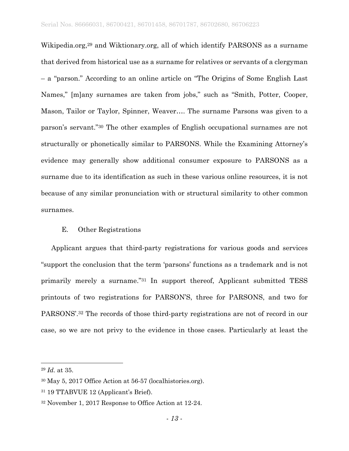Wikipedia.org,29 and Wiktionary.org, all of which identify PARSONS as a surname that derived from historical use as a surname for relatives or servants of a clergyman – a "parson." According to an online article on "The Origins of Some English Last Names," [m]any surnames are taken from jobs," such as "Smith, Potter, Cooper, Mason, Tailor or Taylor, Spinner, Weaver…. The surname Parsons was given to a parson's servant."30 The other examples of English occupational surnames are not structurally or phonetically similar to PARSONS. While the Examining Attorney's evidence may generally show additional consumer exposure to PARSONS as a surname due to its identification as such in these various online resources, it is not because of any similar pronunciation with or structural similarity to other common surnames.

### E. Other Registrations

Applicant argues that third-party registrations for various goods and services "support the conclusion that the term 'parsons' functions as a trademark and is not primarily merely a surname."31 In support thereof, Applicant submitted TESS printouts of two registrations for PARSON'S, three for PARSONS, and two for PARSONS'.32 The records of those third-party registrations are not of record in our case, so we are not privy to the evidence in those cases. Particularly at least the

<sup>29</sup> *Id.* at 35.

<sup>30</sup> May 5, 2017 Office Action at 56-57 (localhistories.org).

<sup>31 19</sup> TTABVUE 12 (Applicant's Brief).

<sup>32</sup> November 1, 2017 Response to Office Action at 12-24.